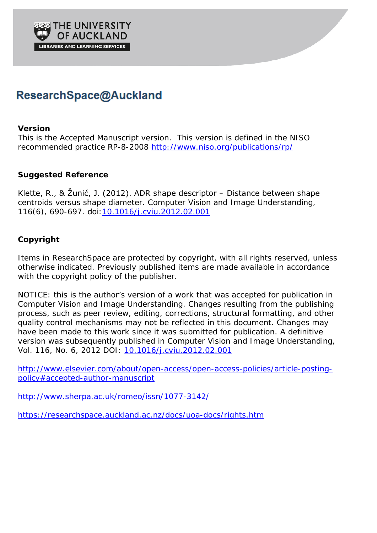

# ResearchSpace@Auckland

### **Version**

This is the Accepted Manuscript version. This version is defined in the NISO recommended practice RP-8-2008<http://www.niso.org/publications/rp/>

## **Suggested Reference**

Klette, R., & Žunić, J. (2012). ADR shape descriptor – Distance between shape centroids versus shape diameter. *Computer Vision and Image Understanding*, *116*(6), 690-697. doi[:10.1016/j.cviu.2012.02.001](http://dx.doi.org/10.1016/j.cviu.2012.02.001)

## **Copyright**

Items in ResearchSpace are protected by copyright, with all rights reserved, unless otherwise indicated. Previously published items are made available in accordance with the copyright policy of the publisher.

NOTICE: this is the author's version of a work that was accepted for publication in *Computer Vision and Image Understanding*. Changes resulting from the publishing process, such as peer review, editing, corrections, structural formatting, and other quality control mechanisms may not be reflected in this document. Changes may have been made to this work since it was submitted for publication. A definitive version was subsequently published in *Computer Vision and Image Understanding,* Vol. 116, No. 6, 2012 DOI: [10.1016/j.cviu.2012.02.001](http://dx.doi.org/10.1016/j.cviu.2012.02.001)

[http://www.elsevier.com/about/open-access/open-access-policies/article-posting](http://www.elsevier.com/about/open-access/open-access-policies/article-posting-policy%23accepted-author-manuscript)[policy#accepted-author-manuscript](http://www.elsevier.com/about/open-access/open-access-policies/article-posting-policy%23accepted-author-manuscript)

<http://www.sherpa.ac.uk/romeo/issn/1077-3142/>

<https://researchspace.auckland.ac.nz/docs/uoa-docs/rights.htm>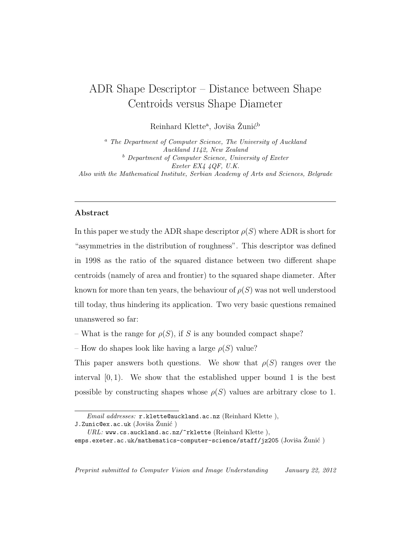## ADR Shape Descriptor – Distance between Shape Centroids versus Shape Diameter

Reinhard Klette<sup>a</sup>, Joviša Žunić<sup>b</sup>

<sup>a</sup> The Department of Computer Science, The University of Auckland Auckland 1142, New Zealand <sup>b</sup> Department of Computer Science, University of Exeter Exeter EX4 4QF, U.K. Also with the Mathematical Institute, Serbian Academy of Arts and Sciences, Belgrade

#### Abstract

In this paper we study the ADR shape descriptor  $\rho(S)$  where ADR is short for "asymmetries in the distribution of roughness". This descriptor was defined in 1998 as the ratio of the squared distance between two different shape centroids (namely of area and frontier) to the squared shape diameter. After known for more than ten years, the behaviour of  $\rho(S)$  was not well understood till today, thus hindering its application. Two very basic questions remained unanswered so far:

– What is the range for  $\rho(S)$ , if S is any bounded compact shape?

– How do shapes look like having a large  $\rho(S)$  value?

This paper answers both questions. We show that  $\rho(S)$  ranges over the interval  $[0, 1)$ . We show that the established upper bound 1 is the best possible by constructing shapes whose  $\rho(S)$  values are arbitrary close to 1.

Email addresses: r.klette@auckland.ac.nz (Reinhard Klette), J.Zunic@ex.ac.uk (Joviša Zunić)

 $URL:$  www.cs.auckland.ac.nz/ $\tilde{r}$ rklette (Reinhard Klette), emps.exeter.ac.uk/mathematics-computer-science/staff/jz205 (Joviša Zunić)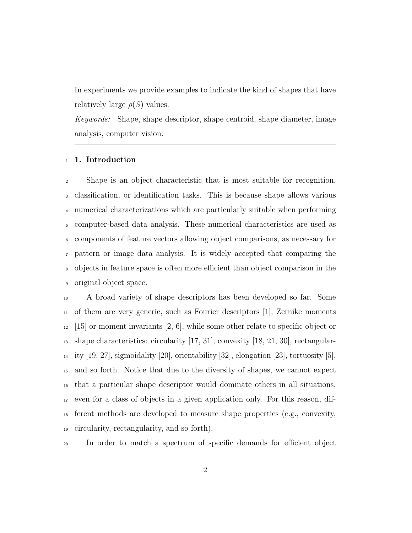In experiments we provide examples to indicate the kind of shapes that have relatively large  $\rho(S)$  values.

Keywords: Shape, shape descriptor, shape centroid, shape diameter, image analysis, computer vision.

#### 1. Introduction

 Shape is an object characteristic that is most suitable for recognition, classification, or identification tasks. This is because shape allows various numerical characterizations which are particularly suitable when performing computer-based data analysis. These numerical characteristics are used as components of feature vectors allowing object comparisons, as necessary for pattern or image data analysis. It is widely accepted that comparing the objects in feature space is often more efficient than object comparison in the original object space.

 A broad variety of shape descriptors has been developed so far. Some of them are very generic, such as Fourier descriptors [1], Zernike moments  $12 \quad [15]$  or moment invariants [2, 6], while some other relate to specific object or shape characteristics: circularity [17, 31], convexity [18, 21, 30], rectangular-<sup>14</sup> ity [19, 27], sigmoidality [20], orientability [32], elongation [23], tortuosity [5], and so forth. Notice that due to the diversity of shapes, we cannot expect that a particular shape descriptor would dominate others in all situations, even for a class of objects in a given application only. For this reason, dif- ferent methods are developed to measure shape properties (e.g., convexity, circularity, rectangularity, and so forth).

In order to match a spectrum of specific demands for efficient object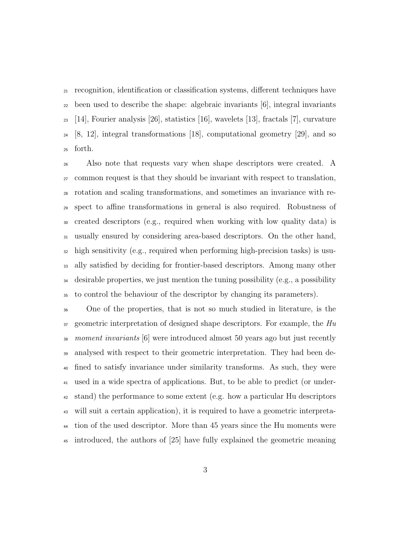recognition, identification or classification systems, different techniques have been used to describe the shape: algebraic invariants [6], integral invariants  $_{23}$  [14], Fourier analysis [26], statistics [16], wavelets [13], fractals [7], curvature [8, 12], integral transformations [18], computational geometry [29], and so forth.

 Also note that requests vary when shape descriptors were created. A common request is that they should be invariant with respect to translation, rotation and scaling transformations, and sometimes an invariance with re- spect to affine transformations in general is also required. Robustness of created descriptors (e.g., required when working with low quality data) is usually ensured by considering area-based descriptors. On the other hand, high sensitivity (e.g., required when performing high-precision tasks) is usu- ally satisfied by deciding for frontier-based descriptors. Among many other desirable properties, we just mention the tuning possibility (e.g., a possibility to control the behaviour of the descriptor by changing its parameters).

 One of the properties, that is not so much studied in literature, is the geometric interpretation of designed shape descriptors. For example, the  $Hu$  moment invariants [6] were introduced almost 50 years ago but just recently <sup>39</sup> analysed with respect to their geometric interpretation. They had been de- fined to satisfy invariance under similarity transforms. As such, they were used in a wide spectra of applications. But, to be able to predict (or under- stand) the performance to some extent (e.g. how a particular Hu descriptors will suit a certain application), it is required to have a geometric interpreta- tion of the used descriptor. More than 45 years since the Hu moments were introduced, the authors of [25] have fully explained the geometric meaning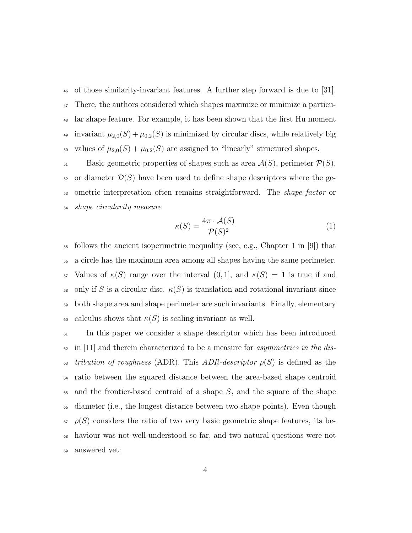<sup>46</sup> of those similarity-invariant features. A further step forward is due to [31]. <sup>47</sup> There, the authors considered which shapes maximize or minimize a particu-<sup>48</sup> lar shape feature. For example, it has been shown that the first Hu moment 49 invariant  $\mu_{2,0}(S) + \mu_{0,2}(S)$  is minimized by circular discs, while relatively big 50 values of  $\mu_{2,0}(S) + \mu_{0,2}(S)$  are assigned to "linearly" structured shapes.

51 Basic geometric properties of shapes such as area  $\mathcal{A}(S)$ , perimeter  $\mathcal{P}(S)$ ,  $52$  or diameter  $\mathcal{D}(S)$  have been used to define shape descriptors where the ge-<sub>53</sub> ometric interpretation often remains straightforward. The *shape factor* or <sup>54</sup> shape circularity measure

$$
\kappa(S) = \frac{4\pi \cdot \mathcal{A}(S)}{\mathcal{P}(S)^2} \tag{1}
$$

 $55$  follows the ancient isoperimetric inequality (see, e.g., Chapter 1 in [9]) that <sup>56</sup> a circle has the maximum area among all shapes having the same perimeter. 57 Values of  $\kappa(S)$  range over the interval  $(0, 1]$ , and  $\kappa(S) = 1$  is true if and 58 only if S is a circular disc.  $\kappa(S)$  is translation and rotational invariant since <sup>59</sup> both shape area and shape perimeter are such invariants. Finally, elementary 60 calculus shows that  $\kappa(S)$  is scaling invariant as well.

<sup>61</sup> In this paper we consider a shape descriptor which has been introduced  $\epsilon_2$  in [11] and therein characterized to be a measure for *asymmetries in the dis-*63 tribution of roughness (ADR). This ADR-descriptor  $\rho(S)$  is defined as the <sup>64</sup> ratio between the squared distance between the area-based shape centroid  $\epsilon$ <sub>55</sub> and the frontier-based centroid of a shape S, and the square of the shape <sup>66</sup> diameter (i.e., the longest distance between two shape points). Even though  $\epsilon_{\rm f}$   $\rho(S)$  considers the ratio of two very basic geometric shape features, its be-<sup>68</sup> haviour was not well-understood so far, and two natural questions were not <sup>69</sup> answered yet: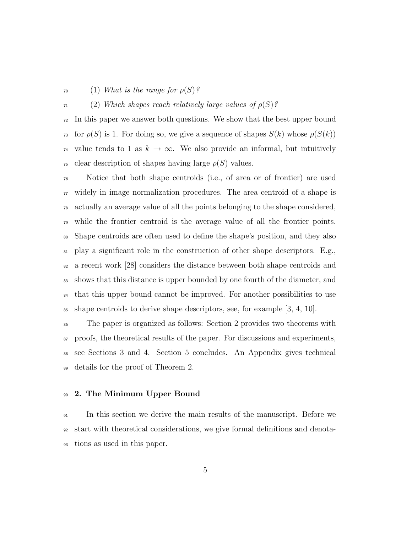#### $\tau_0$  (1) What is the range for  $\rho(S)$ ?

#### $\tau_1$  (2) Which shapes reach relatively large values of  $\rho(S)$ ?

 In this paper we answer both questions. We show that the best upper bound <sup>73</sup> for  $\rho(S)$  is 1. For doing so, we give a sequence of shapes  $S(k)$  whose  $\rho(S(k))$ <sup>74</sup> value tends to 1 as  $k \to \infty$ . We also provide an informal, but intuitively <sup>75</sup> clear description of shapes having large  $\rho(S)$  values.

 Notice that both shape centroids (i.e., of area or of frontier) are used  $\pi$  widely in image normalization procedures. The area centroid of a shape is actually an average value of all the points belonging to the shape considered, while the frontier centroid is the average value of all the frontier points. Shape centroids are often used to define the shape's position, and they also play a significant role in the construction of other shape descriptors. E.g., a recent work [28] considers the distance between both shape centroids and shows that this distance is upper bounded by one fourth of the diameter, and <sup>84</sup> that this upper bound cannot be improved. For another possibilities to use  $\text{ss}$  shape centroids to derive shape descriptors, see, for example [3, 4, 10].

 The paper is organized as follows: Section 2 provides two theorems with proofs, the theoretical results of the paper. For discussions and experiments, see Sections 3 and 4. Section 5 concludes. An Appendix gives technical details for the proof of Theorem 2.

#### 2. The Minimum Upper Bound

 In this section we derive the main results of the manuscript. Before we start with theoretical considerations, we give formal definitions and denota-tions as used in this paper.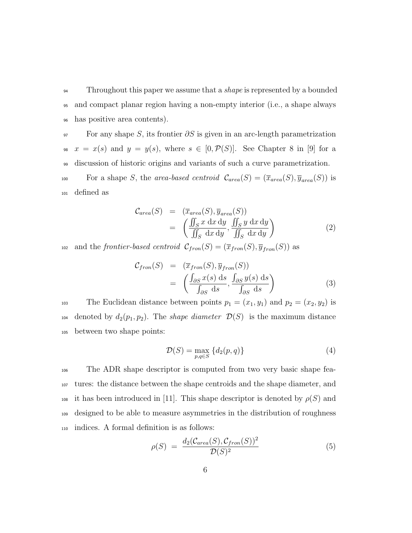<sup>94</sup> Throughout this paper we assume that a *shape* is represented by a bounded <sup>95</sup> and compact planar region having a non-empty interior (i.e., a shape always <sup>96</sup> has positive area contents).

 $\mathcal{P}$  For any shape S, its frontier  $\partial S$  is given in an arc-length parametrization 98  $x = x(s)$  and  $y = y(s)$ , where  $s \in [0, \mathcal{P}(S)]$ . See Chapter 8 in [9] for a <sup>99</sup> discussion of historic origins and variants of such a curve parametrization.

For a shape S, the area-based centroid  $\mathcal{C}_{area}(S) = (\overline{x}_{area}(S), \overline{y}_{area}(S))$  is <sup>101</sup> defined as

$$
C_{area}(S) = (\overline{x}_{area}(S), \overline{y}_{area}(S))
$$
  
= 
$$
\left(\frac{\iint_{S} x \, dx \, dy}{\iint_{S} dx \, dy}, \frac{\iint_{S} y \, dx \, dy}{\iint_{S} dx \, dy}\right)
$$
 (2)

<sup>102</sup> and the frontier-based centroid  $C_{from}(S) = (\overline{x}_{from}(S), \overline{y}_{from}(S))$  as

$$
\mathcal{C}_{from}(S) = (\overline{x}_{from}(S), \overline{y}_{from}(S))
$$

$$
= \left( \frac{\int_{\partial S} x(s) \, ds}{\int_{\partial S} ds}, \frac{\int_{\partial S} y(s) \, ds}{\int_{\partial S} ds} \right)
$$
(3)

103 The Euclidean distance between points  $p_1 = (x_1, y_1)$  and  $p_2 = (x_2, y_2)$  is 104 denoted by  $d_2(p_1, p_2)$ . The *shape diameter*  $\mathcal{D}(S)$  is the maximum distance <sup>105</sup> between two shape points:

$$
\mathcal{D}(S) = \max_{p,q \in S} \{d_2(p,q)\}\tag{4}
$$

 The ADR shape descriptor is computed from two very basic shape fea- tures: the distance between the shape centroids and the shape diameter, and 108 it has been introduced in [11]. This shape descriptor is denoted by  $\rho(S)$  and designed to be able to measure asymmetries in the distribution of roughness indices. A formal definition is as follows:

$$
\rho(S) = \frac{d_2(\mathcal{C}_{area}(S), \mathcal{C}_{from}(S))^2}{\mathcal{D}(S)^2} \tag{5}
$$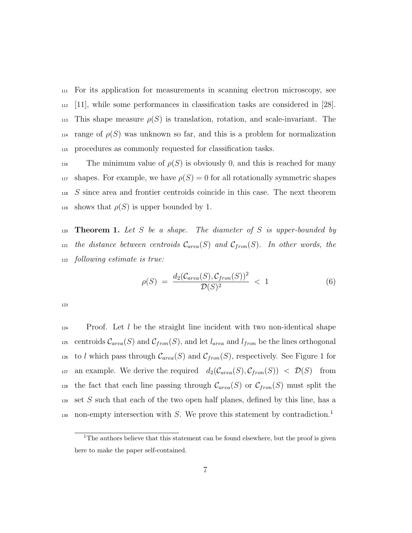<sup>111</sup> For its application for measurements in scanning electron microscopy, see <sup>112</sup> [11], while some performances in classification tasks are considered in [28]. 113 This shape measure  $\rho(S)$  is translation, rotation, and scale-invariant. The 114 range of  $\rho(S)$  was unknown so far, and this is a problem for normalization <sup>115</sup> procedures as commonly requested for classification tasks.

116 The minimum value of  $\rho(S)$  is obviously 0, and this is reached for many 117 shapes. For example, we have  $\rho(S) = 0$  for all rotationally symmetric shapes <sup>118</sup> S since area and frontier centroids coincide in this case. The next theorem 119 shows that  $\rho(S)$  is upper bounded by 1.

120 **Theorem 1.** Let S be a shape. The diameter of S is upper-bounded by <sup>121</sup> the distance between centroids  $C_{area}(S)$  and  $C_{from}(S)$ . In other words, the <sup>122</sup> following estimate is true:

$$
\rho(S) = \frac{d_2(\mathcal{C}_{area}(S), \mathcal{C}_{from}(S))^2}{\mathcal{D}(S)^2} < 1 \tag{6}
$$

123

 $124$  Proof. Let l be the straight line incident with two non-identical shape <sup>125</sup> centroids  $\mathcal{C}_{area}(S)$  and  $\mathcal{C}_{fron}(S)$ , and let  $l_{area}$  and  $l_{fron}$  be the lines orthogonal <sup>126</sup> to l which pass through  $\mathcal{C}_{area}(S)$  and  $\mathcal{C}_{from}(S)$ , respectively. See Figure 1 for 127 an example. We derive the required  $d_2(\mathcal{C}_{area}(S), \mathcal{C}_{from}(S)) < \mathcal{D}(S)$  from <sup>128</sup> the fact that each line passing through  $\mathcal{C}_{area}(S)$  or  $\mathcal{C}_{from}(S)$  must split the 129 set S such that each of the two open half planes, defined by this line, has a non-empty intersection with  $S$ . We prove this statement by contradiction.<sup>1</sup> 130

<sup>&</sup>lt;sup>1</sup>The authors believe that this statement can be found elsewhere, but the proof is given here to make the paper self-contained.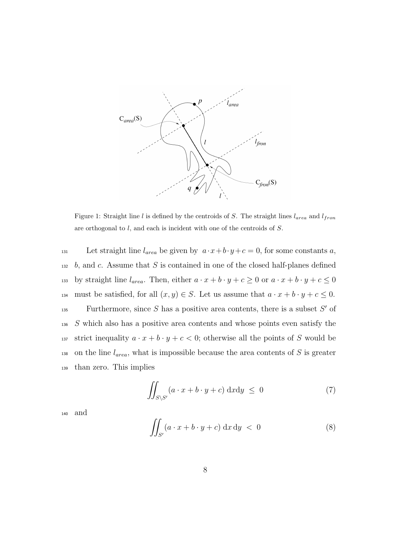

Figure 1: Straight line l is defined by the centroids of S. The straight lines  $l_{area}$  and  $l_{fron}$ are orthogonal to l, and each is incident with one of the centroids of S.

131 Let straight line  $l_{area}$  be given by  $a \cdot x + b \cdot y + c = 0$ , for some constants a,  $132$  b, and c. Assume that S is contained in one of the closed half-planes defined <sup>133</sup> by straight line  $l_{area}$ . Then, either  $a \cdot x + b \cdot y + c \ge 0$  or  $a \cdot x + b \cdot y + c \le 0$ 134 must be satisfied, for all  $(x, y) \in S$ . Let us assume that  $a \cdot x + b \cdot y + c \le 0$ . Furthermore, since  $S$  has a positive area contents, there is a subset  $S'$  of <sup>136</sup> S which also has a positive area contents and whose points even satisfy the <sup>137</sup> strict inequality  $a \cdot x + b \cdot y + c < 0$ ; otherwise all the points of S would be 138 on the line  $l_{area}$ , what is impossible because the area contents of S is greater <sup>139</sup> than zero. This implies

$$
\iint_{S\setminus S'} (a \cdot x + b \cdot y + c) \, \mathrm{d}x \mathrm{d}y \le 0 \tag{7}
$$

<sup>140</sup> and

$$
\iint_{S'} (a \cdot x + b \cdot y + c) \, dx \, dy < 0 \tag{8}
$$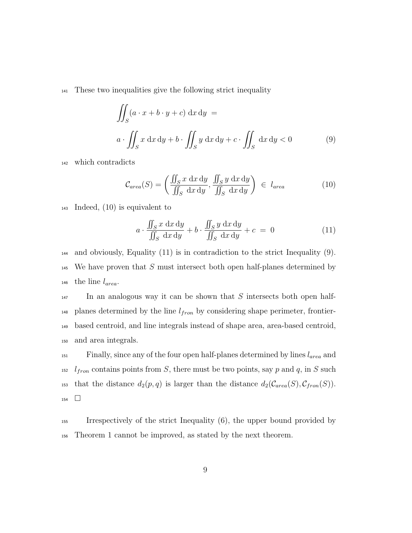<sup>141</sup> These two inequalities give the following strict inequality

$$
\iint_{S} (a \cdot x + b \cdot y + c) \, dx \, dy =
$$
\n
$$
a \cdot \iint_{S} x \, dx \, dy + b \cdot \iint_{S} y \, dx \, dy + c \cdot \iint_{S} dx \, dy < 0 \tag{9}
$$

<sup>142</sup> which contradicts

$$
\mathcal{C}_{area}(S) = \left(\frac{\iint_S x \, dx \, dy}{\iint_S dx \, dy}, \frac{\iint_S y \, dx \, dy}{\iint_S dx \, dy}\right) \in l_{area}
$$
(10)

<sup>143</sup> Indeed, (10) is equivalent to

$$
a \cdot \frac{\iint_{S} x \, dx \, dy}{\iint_{S} dx \, dy} + b \cdot \frac{\iint_{S} y \, dx \, dy}{\iint_{S} dx \, dy} + c = 0 \tag{11}
$$

 $_{144}$  and obviously, Equality (11) is in contradiction to the strict Inequality (9).  $145$  We have proven that S must intersect both open half-planes determined by 146 the line  $l_{area}$ .

 $\mu$ <sub>147</sub> In an analogous way it can be shown that S intersects both open half- $_{148}$  planes determined by the line  $l_{fron}$  by considering shape perimeter, frontier-<sup>149</sup> based centroid, and line integrals instead of shape area, area-based centroid, <sup>150</sup> and area integrals.

 $151$  Finally, since any of the four open half-planes determined by lines  $l_{area}$  and <sup>152</sup>  $l_{from}$  contains points from S, there must be two points, say p and q, in S such <sup>153</sup> that the distance  $d_2(p,q)$  is larger than the distance  $d_2(\mathcal{C}_{area}(S), \mathcal{C}_{from}(S)).$ 154  $\Box$ 

<sup>155</sup> Irrespectively of the strict Inequality (6), the upper bound provided by <sup>156</sup> Theorem 1 cannot be improved, as stated by the next theorem.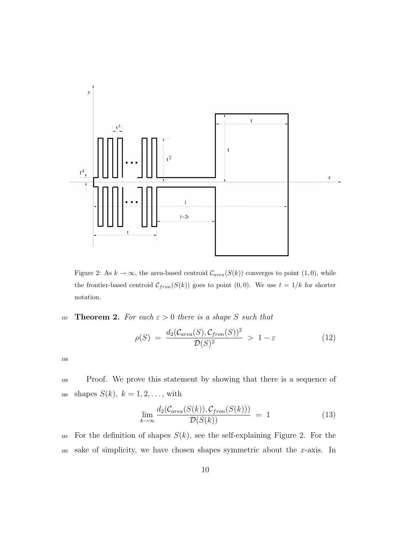

Figure 2: As  $k \to \infty$ , the area-based centroid  $C_{area}(S(k))$  converges to point  $(1, 0)$ , while the frontier-based centroid  $C_{fron}(S(k))$  goes to point  $(0, 0)$ . We use  $t = 1/k$  for shorter notation.

157 **Theorem 2.** For each  $\varepsilon > 0$  there is a shape S such that

$$
\rho(S) = \frac{d_2(\mathcal{C}_{area}(S), \mathcal{C}_{from}(S))^2}{\mathcal{D}(S)^2} > 1 - \varepsilon
$$
\n(12)

158

<sup>159</sup> Proof. We prove this statement by showing that there is a sequence of 160 shapes  $S(k)$ ,  $k = 1, 2, ...,$  with

$$
\lim_{k \to \infty} \frac{d_2(\mathcal{C}_{area}(S(k)), \mathcal{C}_{from}(S(k)))}{\mathcal{D}(S(k))} = 1 \tag{13}
$$

<sup>161</sup> For the definition of shapes  $S(k)$ , see the self-explaining Figure 2. For the  $_{162}$  sake of simplicity, we have chosen shapes symmetric about the x-axis. In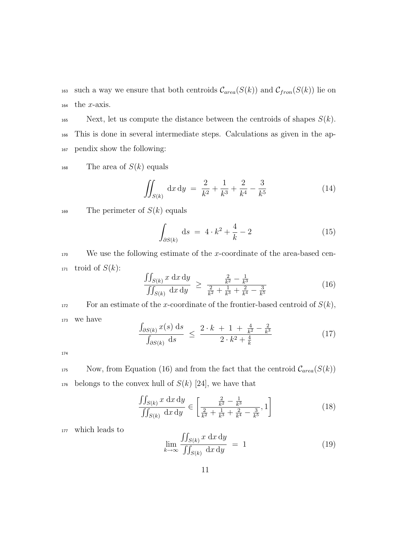<sup>163</sup> such a way we ensure that both centroids  $\mathcal{C}_{area}(S(k))$  and  $\mathcal{C}_{from}(S(k))$  lie on  $_{164}$  the *x*-axis.

165 Next, let us compute the distance between the centroids of shapes  $S(k)$ . <sup>166</sup> This is done in several intermediate steps. Calculations as given in the ap-<sup>167</sup> pendix show the following:

 $168$  The area of  $S(k)$  equals

$$
\iint_{S(k)} dx dy = \frac{2}{k^2} + \frac{1}{k^3} + \frac{2}{k^4} - \frac{3}{k^5}
$$
 (14)

 $169$  The perimeter of  $S(k)$  equals

$$
\int_{\partial S(k)} ds = 4 \cdot k^2 + \frac{4}{k} - 2 \tag{15}
$$

 $170$  We use the following estimate of the x-coordinate of the area-based cen-171 troid of  $S(k)$ :

$$
\frac{\iint_{S(k)} x \, dx \, dy}{\iint_{S(k)} dx \, dy} \ge \frac{\frac{2}{k^2} - \frac{1}{k^3}}{\frac{2}{k^2} + \frac{1}{k^3} + \frac{2}{k^4} - \frac{3}{k^5}}
$$
(16)

172 For an estimate of the x-coordinate of the frontier-based centroid of  $S(k)$ , <sup>173</sup> we have

$$
\frac{\int_{\partial S(k)} x(s) \, ds}{\int_{\partial S(k)} ds} \le \frac{2 \cdot k + 1 + \frac{4}{k^2} - \frac{2}{k^3}}{2 \cdot k^2 + \frac{4}{k}} \tag{17}
$$

174

175 Now, from Equation (16) and from the fact that the centroid  $\mathcal{C}_{area}(S(k))$  $_{176}$  belongs to the convex hull of  $S(k)$  [24], we have that

$$
\frac{\iint_{S(k)} x \, dx \, dy}{\iint_{S(k)} dx \, dy} \in \left[ \frac{\frac{2}{k^2} - \frac{1}{k^3}}{\frac{2}{k^2} + \frac{1}{k^3} + \frac{2}{k^4} - \frac{3}{k^5}}, 1 \right]
$$
\n(18)

<sup>177</sup> which leads to

$$
\lim_{k \to \infty} \frac{\iint_{S(k)} x \, dx \, dy}{\iint_{S(k)} dx \, dy} = 1 \tag{19}
$$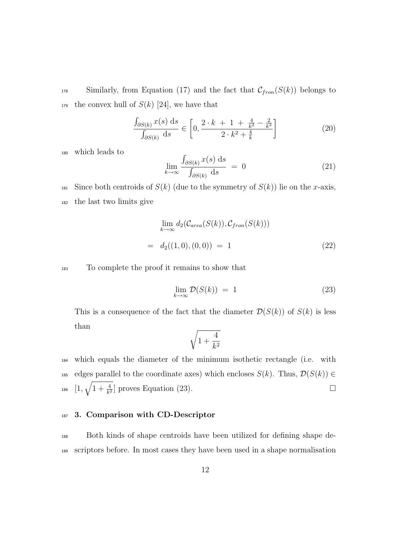<sup>178</sup> Similarly, from Equation (17) and the fact that  $C_{from}(S(k))$  belongs to 179 the convex hull of  $S(k)$  [24], we have that

$$
\frac{\int_{\partial S(k)} x(s) ds}{\int_{\partial S(k)} ds} \in \left[0, \frac{2 \cdot k + 1 + \frac{4}{k^2} - \frac{2}{k^3}}{2 \cdot k^2 + \frac{4}{k}}\right] \tag{20}
$$

<sup>180</sup> which leads to

$$
\lim_{k \to \infty} \frac{\int_{\partial S(k)} x(s) \, ds}{\int_{\partial S(k)} ds} = 0 \tag{21}
$$

<sup>181</sup> Since both centroids of  $S(k)$  (due to the symmetry of  $S(k)$ ) lie on the x-axis, <sup>182</sup> the last two limits give

$$
\lim_{k \to \infty} d_2(\mathcal{C}_{area}(S(k)), \mathcal{C}_{from}(S(k)))
$$
\n
$$
= d_2((1,0), (0,0)) = 1
$$
\n(22)

<sup>183</sup> To complete the proof it remains to show that

$$
\lim_{k \to \infty} \mathcal{D}(S(k)) = 1 \tag{23}
$$

This is a consequence of the fact that the diameter  $\mathcal{D}(S(k))$  of  $S(k)$  is less than

$$
\sqrt{1+\frac{4}{k^2}}
$$

<sup>184</sup> which equals the diameter of the minimum isothetic rectangle (i.e. with 185 edges parallel to the coordinate axes) which encloses  $S(k)$ . Thus,  $\mathcal{D}(S(k)) \in$ <sup>186</sup>  $[1, \sqrt{1 + \frac{4}{k^2}}]$  proves Equation (23).

#### 187 3. Comparison with CD-Descriptor

<sup>188</sup> Both kinds of shape centroids have been utilized for defining shape de-<sup>189</sup> scriptors before. In most cases they have been used in a shape normalisation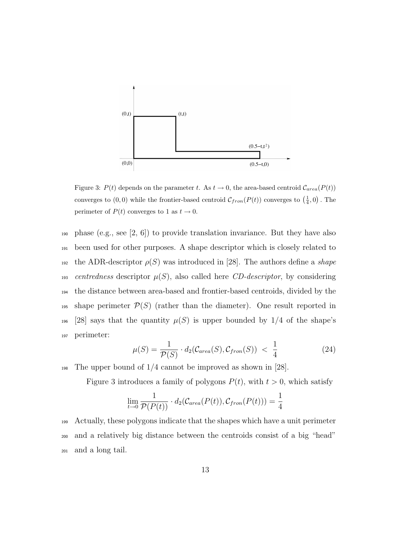

Figure 3:  $P(t)$  depends on the parameter t. As  $t \to 0$ , the area-based centroid  $C_{area}(P(t))$ converges to  $(0,0)$  while the frontier-based centroid  $C_{from}(P(t))$  converges to  $(\frac{1}{4},0)$ . The perimeter of  $P(t)$  converges to 1 as  $t \to 0$ .

<sup>190</sup> phase (e.g., see [2, 6]) to provide translation invariance. But they have also <sup>191</sup> been used for other purposes. A shape descriptor which is closely related to 192 the ADR-descriptor  $\rho(S)$  was introduced in [28]. The authors define a shape 193 centredness descriptor  $\mu(S)$ , also called here CD-descriptor, by considering <sup>194</sup> the distance between area-based and frontier-based centroids, divided by the 195 shape perimeter  $\mathcal{P}(S)$  (rather than the diameter). One result reported in 196 [28] says that the quantity  $\mu(S)$  is upper bounded by 1/4 of the shape's <sup>197</sup> perimeter:

$$
\mu(S) = \frac{1}{\mathcal{P}(S)} \cdot d_2(\mathcal{C}_{area}(S), \mathcal{C}_{from}(S)) < \frac{1}{4} \tag{24}
$$

<sup>198</sup> The upper bound of 1/4 cannot be improved as shown in [28].

Figure 3 introduces a family of polygons  $P(t)$ , with  $t > 0$ , which satisfy

$$
\lim_{t \to 0} \frac{1}{\mathcal{P}(P(t))} \cdot d_2(\mathcal{C}_{area}(P(t)), \mathcal{C}_{from}(P(t))) = \frac{1}{4}
$$

<sup>199</sup> Actually, these polygons indicate that the shapes which have a unit perimeter <sup>200</sup> and a relatively big distance between the centroids consist of a big "head" <sup>201</sup> and a long tail.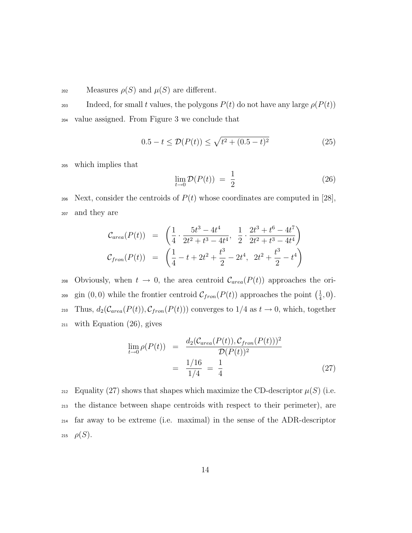202 Measures  $\rho(S)$  and  $\mu(S)$  are different.

203 Indeed, for small t values, the polygons  $P(t)$  do not have any large  $\rho(P(t))$ <sup>204</sup> value assigned. From Figure 3 we conclude that

$$
0.5 - t \le \mathcal{D}(P(t)) \le \sqrt{t^2 + (0.5 - t)^2} \tag{25}
$$

<sup>205</sup> which implies that

$$
\lim_{t \to 0} \mathcal{D}(P(t)) = \frac{1}{2} \tag{26}
$$

206 Next, consider the centroids of  $P(t)$  whose coordinates are computed in [28], <sup>207</sup> and they are

$$
C_{area}(P(t)) = \left(\frac{1}{4} \cdot \frac{5t^3 - 4t^4}{2t^2 + t^3 - 4t^4}, \frac{1}{2} \cdot \frac{2t^3 + t^6 - 4t^7}{2t^2 + t^3 - 4t^4}\right)
$$
  

$$
C_{from}(P(t)) = \left(\frac{1}{4} - t + 2t^2 + \frac{t^3}{2} - 2t^4, 2t^2 + \frac{t^3}{2} - t^4\right)
$$

208 Obviously, when  $t \to 0$ , the area centroid  $C_{area}(P(t))$  approaches the origin  $(0,0)$  while the frontier centroid  $\mathcal{C}_{from}(P(t))$  approaches the point  $\left(\frac{1}{4}\right)$ <sup>209</sup> gin (0,0) while the frontier centroid  $C_{from}(P(t))$  approaches the point  $(\frac{1}{4},0)$ . 210 Thus,  $d_2(\mathcal{C}_{area}(P(t)), \mathcal{C}_{from}(P(t)))$  converges to  $1/4$  as  $t \to 0$ , which, together <sup>211</sup> with Equation (26), gives

$$
\lim_{t \to 0} \rho(P(t)) = \frac{d_2(\mathcal{C}_{area}(P(t)), \mathcal{C}_{from}(P(t)))^2}{\mathcal{D}(P(t))^2}
$$

$$
= \frac{1/16}{1/4} = \frac{1}{4}
$$
(27)

212 Equality (27) shows that shapes which maximize the CD-descriptor  $\mu(S)$  (i.e. <sup>213</sup> the distance between shape centroids with respect to their perimeter), are <sup>214</sup> far away to be extreme (i.e. maximal) in the sense of the ADR-descriptor 215  $\rho(S)$ .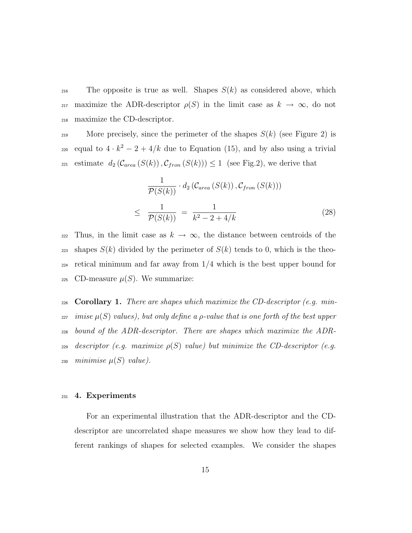<sup>216</sup> The opposite is true as well. Shapes  $S(k)$  as considered above, which 217 maximize the ADR-descriptor  $\rho(S)$  in the limit case as  $k \to \infty$ , do not <sup>218</sup> maximize the CD-descriptor.

219 More precisely, since the perimeter of the shapes  $S(k)$  (see Figure 2) is equal to  $4 \cdot k^2 - 2 + 4/k$  due to Equation (15), and by also using a trivial 221 estimate  $d_2(\mathcal{C}_{area}(S(k)), \mathcal{C}_{from}(S(k))) \leq 1$  (see Fig.2), we derive that

$$
\frac{1}{\mathcal{P}(S(k))} \cdot d_2 \left( \mathcal{C}_{area} \left( S(k) \right), \mathcal{C}_{from} \left( S(k) \right) \right)
$$
\n
$$
\leq \frac{1}{\mathcal{P}(S(k))} = \frac{1}{k^2 - 2 + 4/k} \tag{28}
$$

222 Thus, in the limit case as  $k \to \infty$ , the distance between centroids of the 223 shapes  $S(k)$  divided by the perimeter of  $S(k)$  tends to 0, which is the theo- $_{224}$  retical minimum and far away from  $1/4$  which is the best upper bound for 225 CD-measure  $\mu(S)$ . We summarize:

226 Corollary 1. There are shapes which maximize the CD-descriptor (e.g. min-227 imise  $\mu(S)$  values), but only define a *ρ*-value that is one forth of the best upper <sup>228</sup> bound of the ADR-descriptor. There are shapes which maximize the ADR- $\alpha_{229}$  descriptor (e.g. maximize  $\rho(S)$  value) but minimize the CD-descriptor (e.g. 230 minimise  $\mu(S)$  value).

#### <sup>231</sup> 4. Experiments

For an experimental illustration that the ADR-descriptor and the CDdescriptor are uncorrelated shape measures we show how they lead to different rankings of shapes for selected examples. We consider the shapes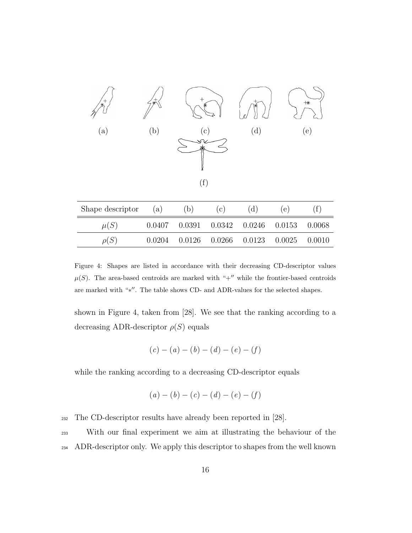

| Shape descriptor | (a)    | b) | $\circ$ )                           | (d)               | (e) |          |
|------------------|--------|----|-------------------------------------|-------------------|-----|----------|
| $\mu(S)$         | 0.0407 |    | $0.0391$ $0.0342$ $0.0246$ $0.0153$ |                   |     | - 0.0068 |
| $\rho(S)$        | 0.0204 |    | 0.0126 0.0266                       | $0.0123$ $0.0025$ |     | 0.0010   |

Figure 4: Shapes are listed in accordance with their decreasing CD-descriptor values  $\mu(S)$ . The area-based centroids are marked with "+" while the frontier-based centroids are marked with "\*". The table shows CD- and ADR-values for the selected shapes.

shown in Figure 4, taken from [28]. We see that the ranking according to a decreasing ADR-descriptor  $\rho(S)$  equals

$$
(c) - (a) - (b) - (d) - (e) - (f)
$$

while the ranking according to a decreasing CD-descriptor equals

$$
(a) - (b) - (c) - (d) - (e) - (f)
$$

<sup>232</sup> The CD-descriptor results have already been reported in [28].

<sup>233</sup> With our final experiment we aim at illustrating the behaviour of the <sup>234</sup> ADR-descriptor only. We apply this descriptor to shapes from the well known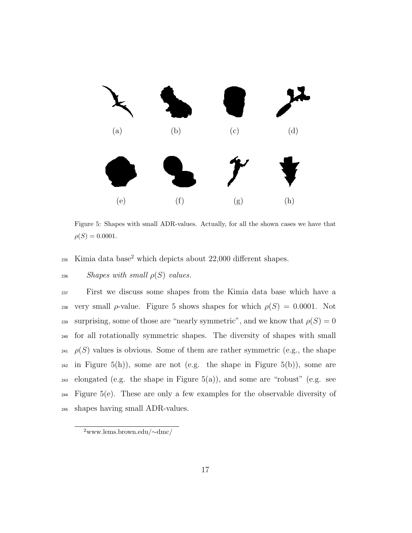

Figure 5: Shapes with small ADR-values. Actually, for all the shown cases we have that  $\rho(S) = 0.0001.$ 

 $235$  Kimia data base<sup>2</sup> which depicts about  $22,000$  different shapes.

#### $236$  Shapes with small  $\rho(S)$  values.

<sup>237</sup> First we discuss some shapes from the Kimia data base which have a 238 very small  $\rho$ -value. Figure 5 shows shapes for which  $\rho(S) = 0.0001$ . Not 239 surprising, some of those are "nearly symmetric", and we know that  $\rho(S) = 0$ <sup>240</sup> for all rotationally symmetric shapes. The diversity of shapes with small  $241 \rho(S)$  values is obvious. Some of them are rather symmetric (e.g., the shape  $_{242}$  in Figure 5(h)), some are not (e.g. the shape in Figure 5(b)), some are  $_{243}$  elongated (e.g. the shape in Figure 5(a)), and some are "robust" (e.g. see <sup>244</sup> Figure 5(e). These are only a few examples for the observable diversity of <sup>245</sup> shapes having small ADR-values.

<sup>2</sup>www.lems.brown.edu/∼dmc/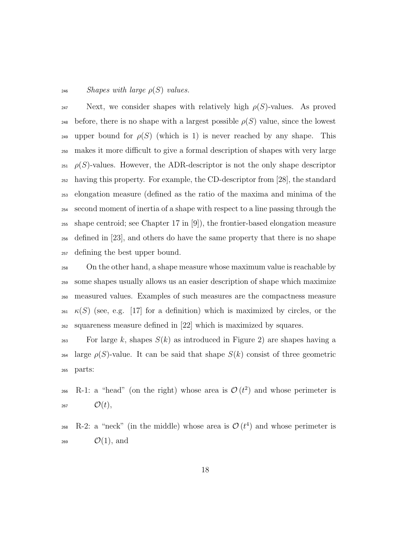#### $246$  Shapes with large  $\rho(S)$  values.

247 Next, we consider shapes with relatively high  $\rho(S)$ -values. As proved 248 before, there is no shape with a largest possible  $\rho(S)$  value, since the lowest 249 upper bound for  $\rho(S)$  (which is 1) is never reached by any shape. This makes it more difficult to give a formal description of shapes with very large  $\varphi(S)$ -values. However, the ADR-descriptor is not the only shape descriptor having this property. For example, the CD-descriptor from [28], the standard elongation measure (defined as the ratio of the maxima and minima of the second moment of inertia of a shape with respect to a line passing through the shape centroid; see Chapter 17 in [9]), the frontier-based elongation measure defined in [23], and others do have the same property that there is no shape defining the best upper bound.

 On the other hand, a shape measure whose maximum value is reachable by some shapes usually allows us an easier description of shape which maximize measured values. Examples of such measures are the compactness measure  $\kappa(S)$  (see, e.g. [17] for a definition) which is maximized by circles, or the squareness measure defined in [22] which is maximized by squares.

<sup>263</sup> For large k, shapes  $S(k)$  as introduced in Figure 2) are shapes having a 264 large  $\rho(S)$ -value. It can be said that shape  $S(k)$  consist of three geometric <sup>265</sup> parts:

- 266 R-1: a "head" (on the right) whose area is  $\mathcal{O}(t^2)$  and whose perimeter is 267  $O(t)$ ,
- 268 R-2: a "neck" (in the middle) whose area is  $\mathcal{O}(t^4)$  and whose perimeter is  $\mathcal{O}(1)$ , and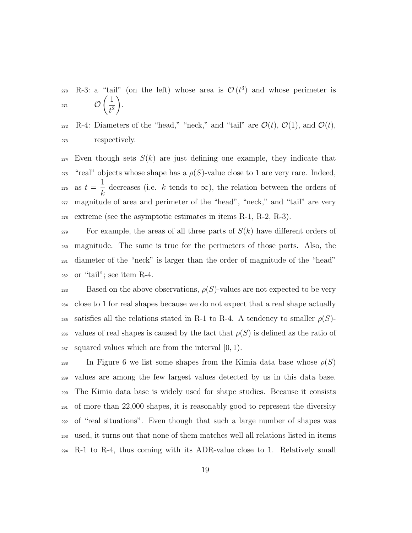270 R-3: a "tail" (on the left) whose area is  $\mathcal{O}(t^3)$  and whose perimeter is  $\mathcal{O}$  $\sqrt{1}$  $t^2$  $\setminus$ 271  $\mathcal{O}\left(\frac{1}{\sqrt{2}}\right)$ .

272 R-4: Diameters of the "head," "neck," and "tail" are  $\mathcal{O}(t)$ ,  $\mathcal{O}(1)$ , and  $\mathcal{O}(t)$ , <sup>273</sup> respectively.

 $_{274}$  Even though sets  $S(k)$  are just defining one example, they indicate that <sup>275</sup> "real" objects whose shape has a  $\rho(S)$ -value close to 1 are very rare. Indeed, as  $t =$ 1 k 276 as  $t = \frac{1}{l}$  decreases (i.e. k tends to  $\infty$ ), the relation between the orders of <sup>277</sup> magnitude of area and perimeter of the "head", "neck," and "tail" are very  $_{278}$  extreme (see the asymptotic estimates in items R-1, R-2, R-3).

 For example, the areas of all three parts of  $S(k)$  have different orders of magnitude. The same is true for the perimeters of those parts. Also, the diameter of the "neck" is larger than the order of magnitude of the "head" or "tail"; see item R-4.

 $Based$  on the above observations,  $\rho(S)$ -values are not expected to be very <sup>284</sup> close to 1 for real shapes because we do not expect that a real shape actually 285 satisfies all the relations stated in R-1 to R-4. A tendency to smaller  $\rho(S)$ -286 values of real shapes is caused by the fact that  $\rho(S)$  is defined as the ratio of 287 squared values which are from the interval  $[0, 1)$ .

<sup>288</sup> In Figure 6 we list some shapes from the Kimia data base whose  $\rho(S)$  values are among the few largest values detected by us in this data base. The Kimia data base is widely used for shape studies. Because it consists of more than 22,000 shapes, it is reasonably good to represent the diversity of "real situations". Even though that such a large number of shapes was used, it turns out that none of them matches well all relations listed in items R-1 to R-4, thus coming with its ADR-value close to 1. Relatively small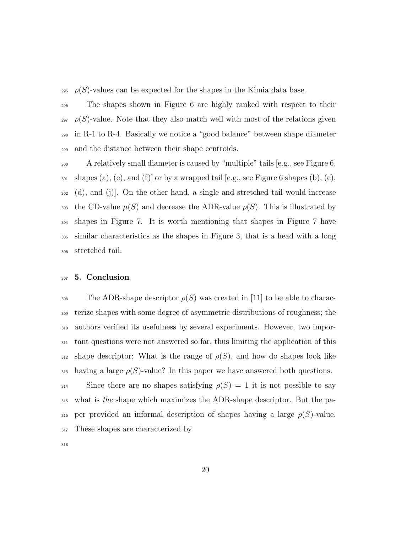$\rho(S)$ -values can be expected for the shapes in the Kimia data base.

 The shapes shown in Figure 6 are highly ranked with respect to their  $\varphi(S)$ -value. Note that they also match well with most of the relations given in R-1 to R-4. Basically we notice a "good balance" between shape diameter and the distance between their shape centroids.

 A relatively small diameter is caused by "multiple" tails [e.g., see Figure 6,  $_{301}$  shapes (a), (e), and (f) or by a wrapped tail [e.g., see Figure 6 shapes (b), (c), (d), and (j)]. On the other hand, a single and stretched tail would increase 303 the CD-value  $\mu(S)$  and decrease the ADR-value  $\rho(S)$ . This is illustrated by shapes in Figure 7. It is worth mentioning that shapes in Figure 7 have similar characteristics as the shapes in Figure 3, that is a head with a long stretched tail.

#### <sup>307</sup> 5. Conclusion

308 The ADR-shape descriptor  $\rho(S)$  was created in [11] to be able to charac-<sup>309</sup> terize shapes with some degree of asymmetric distributions of roughness; the <sup>310</sup> authors verified its usefulness by several experiments. However, two impor-<sup>311</sup> tant questions were not answered so far, thus limiting the application of this  $_{312}$  shape descriptor: What is the range of  $\rho(S)$ , and how do shapes look like  $_{313}$  having a large  $\rho(S)$ -value? In this paper we have answered both questions.

 $\sin^3$  Since there are no shapes satisfying  $\rho(S) = 1$  it is not possible to say <sup>315</sup> what is the shape which maximizes the ADR-shape descriptor. But the pa-316 per provided an informal description of shapes having a large  $\rho(S)$ -value. 317 These shapes are characterized by

318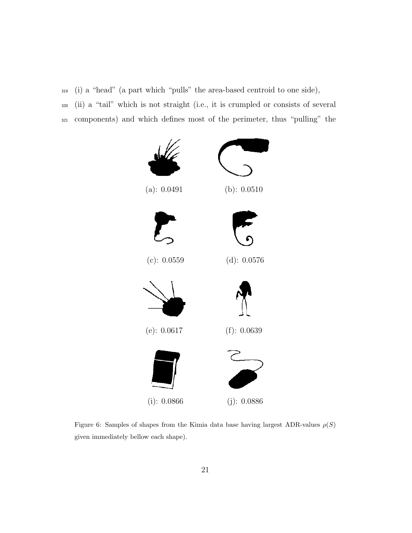<sup>319</sup> (i) a "head" (a part which "pulls" the area-based centroid to one side),

<sup>320</sup> (ii) a "tail" which is not straight (i.e., it is crumpled or consists of several <sup>321</sup> components) and which defines most of the perimeter, thus "pulling" the



Figure 6: Samples of shapes from the Kimia data base having largest ADR-values  $\rho(S)$ given immediately bellow each shape).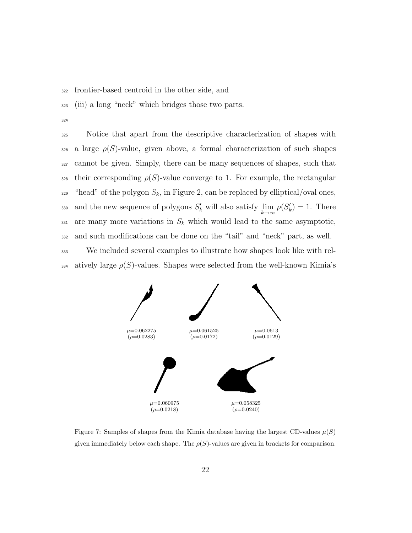<sup>322</sup> frontier-based centroid in the other side, and

- <sup>323</sup> (iii) a long "neck" which bridges those two parts.
- 324

 Notice that apart from the descriptive characterization of shapes with a large  $\rho(S)$ -value, given above, a formal characterization of such shapes cannot be given. Simply, there can be many sequences of shapes, such that their corresponding  $\rho(S)$ -value converge to 1. For example, the rectangular <sup>329</sup> "head" of the polygon  $S_k$ , in Figure 2, can be replaced by elliptical/oval ones, 330 and the new sequence of polygons  $S'_{k}$  will also satisfy  $\lim_{k\to\infty}\rho(S'_{k})=1$ . There 331 are many more variations in  $S_k$  which would lead to the same asymptotic, and such modifications can be done on the "tail" and "neck" part, as well. We included several examples to illustrate how shapes look like with rel-

334 atively large  $\rho(S)$ -values. Shapes were selected from the well-known Kimia's



Figure 7: Samples of shapes from the Kimia database having the largest CD-values  $\mu(S)$ given immediately below each shape. The  $\rho(S)$ -values are given in brackets for comparison.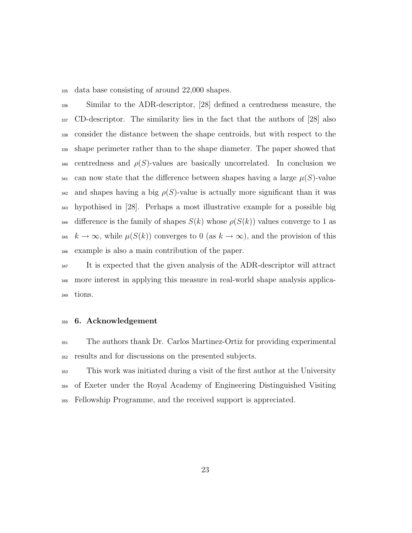data base consisting of around 22,000 shapes.

 Similar to the ADR-descriptor, [28] defined a centredness measure, the CD-descriptor. The similarity lies in the fact that the authors of [28] also consider the distance between the shape centroids, but with respect to the shape perimeter rather than to the shape diameter. The paper showed that 340 centredness and  $\rho(S)$ -values are basically uncorrelated. In conclusion we can now state that the difference between shapes having a large  $\mu(S)$ -value 342 and shapes having a big  $\rho(S)$ -value is actually more significant than it was hypothised in [28]. Perhaps a most illustrative example for a possible big 344 difference is the family of shapes  $S(k)$  whose  $\rho(S(k))$  values converge to 1 as  $k \to \infty$ , while  $\mu(S(k))$  converges to 0 (as  $k \to \infty$ ), and the provision of this example is also a main contribution of the paper.

<sup>347</sup> It is expected that the given analysis of the ADR-descriptor will attract more interest in applying this measure in real-world shape analysis applica-tions.

#### 6. Acknowledgement

 The authors thank Dr. Carlos Martinez-Ortiz for providing experimental results and for discussions on the presented subjects.

 This work was initiated during a visit of the first author at the University of Exeter under the Royal Academy of Engineering Distinguished Visiting Fellowship Programme, and the received support is appreciated.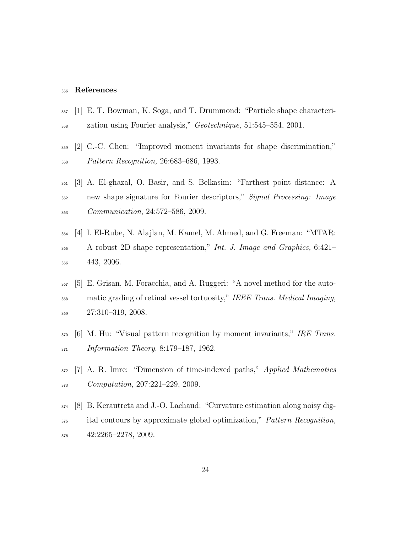#### References

- [1] E. T. Bowman, K. Soga, and T. Drummond: "Particle shape characteri-358 zation using Fourier analysis," *Geotechnique*, 51:545–554, 2001.
- [2] C.-C. Chen: "Improved moment invariants for shape discrimination," Pattern Recognition, 26:683–686, 1993.
- [3] A. El-ghazal, O. Basir, and S. Belkasim: "Farthest point distance: A <sup>362</sup> new shape signature for Fourier descriptors," Signal Processing: Image Communication, 24:572–586, 2009.
- [4] I. El-Rube, N. Alajlan, M. Kamel, M. Ahmed, and G. Freeman: "MTAR: <sup>365</sup> A robust 2D shape representation," *Int. J. Image and Graphics*, 6:421– 443, 2006.
- [5] E. Grisan, M. Foracchia, and A. Ruggeri: "A novel method for the auto-<sup>368</sup> matic grading of retinal vessel tortuosity," IEEE Trans. Medical Imaging, 27:310–319, 2008.
- $370\,$  [6] M. Hu: "Visual pattern recognition by moment invariants," IRE Trans. Information Theory, 8:179–187, 1962.
- 372 [7] A. R. Imre: "Dimension of time-indexed paths," *Applied Mathematics* Computation, 207:221–229, 2009.
- [8] B. Kerautreta and J.-O. Lachaud: "Curvature estimation along noisy dig- ital contours by approximate global optimization," Pattern Recognition, 42:2265–2278, 2009.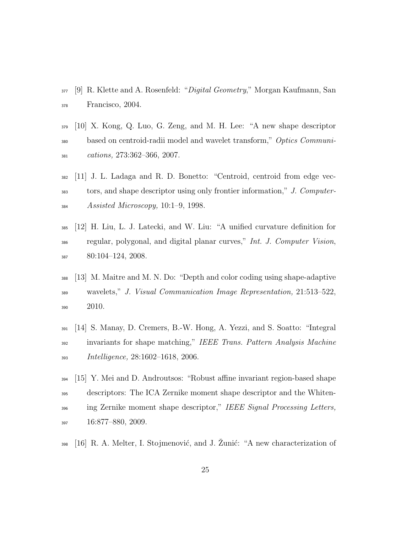- [9] R. Klette and A. Rosenfeld: "*Digital Geometry*," Morgan Kaufmann, San Francisco, 2004.
- [10] X. Kong, Q. Luo, G. Zeng, and M. H. Lee: "A new shape descriptor <sup>380</sup> based on centroid-radii model and wavelet transform," Optics Communi- $_{381}$  cations, 273:362-366, 2007.
- [11] J. L. Ladaga and R. D. Bonetto: "Centroid, centroid from edge vec-<sup>383</sup> tors, and shape descriptor using only frontier information," J. Computer-Assisted Microscopy, 10:1–9, 1998.
- [12] H. Liu, L. J. Latecki, and W. Liu: "A unified curvature definition for <sup>386</sup> regular, polygonal, and digital planar curves," *Int. J. Computer Vision*, 80:104–124, 2008.
- [13] M. Maitre and M. N. Do: "Depth and color coding using shape-adaptive wavelets," J. Visual Communication Image Representation, 21:513–522, 2010.
- [14] S. Manay, D. Cremers, B.-W. Hong, A. Yezzi, and S. Soatto: "Integral <sup>392</sup> invariants for shape matching," IEEE Trans. Pattern Analysis Machine Intelligence, 28:1602–1618, 2006.
- [15] Y. Mei and D. Androutsos: "Robust affine invariant region-based shape descriptors: The ICA Zernike moment shape descriptor and the Whiten-<sup>396</sup> ing Zernike moment shape descriptor," IEEE Signal Processing Letters, 16:877–880, 2009.
- $_{398}$  [16] R. A. Melter, I. Stojmenović, and J. Žunić: "A new characterization of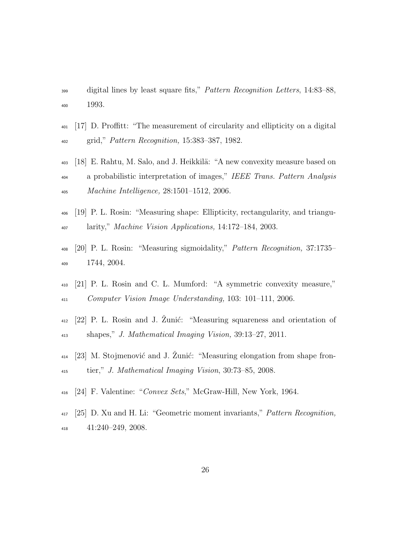- digital lines by least square fits," Pattern Recognition Letters, 14:83–88, 1993.
- [17] D. Proffitt: "The measurement of circularity and ellipticity on a digital grid," Pattern Recognition, 15:383–387, 1982.
- 403 [18] E. Rahtu, M. Salo, and J. Heikkilä: "A new convexity measure based on <sup>404</sup> a probabilistic interpretation of images," IEEE Trans. Pattern Analysis Machine Intelligence, 28:1501–1512, 2006.
- [19] P. L. Rosin: "Measuring shape: Ellipticity, rectangularity, and triangu-larity," Machine Vision Applications, 14:172–184, 2003.
- [20] P. L. Rosin: "Measuring sigmoidality," Pattern Recognition, 37:1735– 1744, 2004.
- [21] P. L. Rosin and C. L. Mumford: "A symmetric convexity measure," Computer Vision Image Understanding, 103: 101–111, 2006.
- $_{412}$  [22] P. L. Rosin and J. Zunić: "Measuring squareness and orientation of shapes," J. Mathematical Imaging Vision, 39:13–27, 2011.
- $_{414}$  [23] M. Stojmenović and J. Zunić: "Measuring elongation from shape fron-tier," J. Mathematical Imaging Vision, 30:73–85, 2008.
- [24] F. Valentine: "Convex Sets," McGraw-Hill, New York, 1964.
- [25] D. Xu and H. Li: "Geometric moment invariants," Pattern Recognition, 41:240–249, 2008.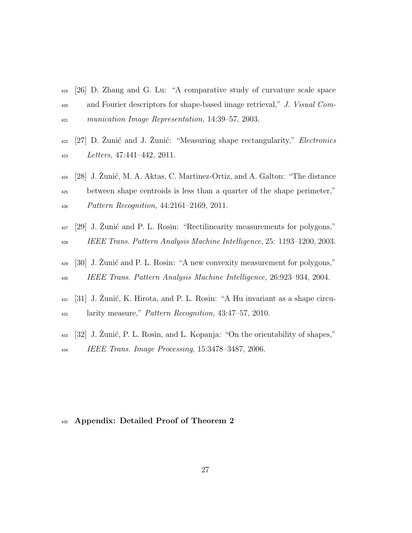- <sup>419</sup> [26] D. Zhang and G. Lu: "A comparative study of curvature scale space 420 and Fourier descriptors for shape-based image retrieval," J. Visual Com-<sup>421</sup> munication Image Representation, 14:39–57, 2003.
- $_{422}$  [27] D. Žunić and J. Žunić: "Measuring shape rectangularity," *Electronics* <sup>423</sup> Letters, 47:441–442, 2011.
- $_{424}$  [28] J. Zunić, M. A. Aktas, C. Martinez-Ortiz, and A. Galton: "The distance <sup>425</sup> between shape centroids is less than a quarter of the shape perimeter," <sup>426</sup> Pattern Recognition, 44:2161–2169, 2011.
- $_{427}$  [29] J. Zunić and P. L. Rosin: "Rectilinearity measurements for polygons," <sup>428</sup> IEEE Trans. Pattern Analysis Machine Intelligence, 25: 1193–1200, 2003.
- 429 [30] J. Zunić and P. L. Rosin: "A new convexity measurement for polygons," <sup>430</sup> IEEE Trans. Pattern Analysis Machine Intelligence, 26:923–934, 2004.
- $_{431}$  [31] J. Zunić, K. Hirota, and P. L. Rosin: "A Hu invariant as a shape circu-<sup>432</sup> larity measure," Pattern Recognition, 43:47–57, 2010.
- $_{433}$  [32] J. Zunić, P. L. Rosin, and L. Kopanja: "On the orientability of shapes," <sup>434</sup> IEEE Trans. Image Processing, 15:3478–3487, 2006.

#### <sup>435</sup> Appendix: Detailed Proof of Theorem 2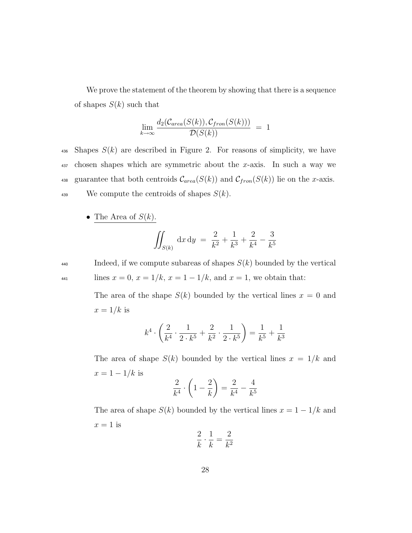We prove the statement of the theorem by showing that there is a sequence of shapes  $S(k)$  such that

$$
\lim_{k \to \infty} \frac{d_2(\mathcal{C}_{area}(S(k)), \mathcal{C}_{from}(S(k)))}{\mathcal{D}(S(k))} = 1
$$

436 Shapes  $S(k)$  are described in Figure 2. For reasons of simplicity, we have  $437$  chosen shapes which are symmetric about the x-axis. In such a way we 438 guarantee that both centroids  $\mathcal{C}_{area}(S(k))$  and  $\mathcal{C}_{from}(S(k))$  lie on the x-axis. 439 We compute the centroids of shapes  $S(k)$ .

• The Area of  $S(k)$ .

$$
\iint_{S(k)} dx dy = \frac{2}{k^2} + \frac{1}{k^3} + \frac{2}{k^4} - \frac{3}{k^5}
$$

 $440$  Indeed, if we compute subareas of shapes  $S(k)$  bounded by the vertical  $\text{lines } x = 0, x = 1/k, x = 1 - 1/k, \text{ and } x = 1, \text{ we obtain that:}$ 

> The area of the shape  $S(k)$  bounded by the vertical lines  $x = 0$  and  $x = 1/k$  is

$$
k^4 \cdot \left(\frac{2}{k^4} \cdot \frac{1}{2 \cdot k^5} + \frac{2}{k^2} \cdot \frac{1}{2 \cdot k^5}\right) = \frac{1}{k^5} + \frac{1}{k^3}
$$

The area of shape  $S(k)$  bounded by the vertical lines  $x = 1/k$  and  $x = 1 - 1/k$  is

$$
\frac{2}{k^4} \cdot \left(1 - \frac{2}{k}\right) = \frac{2}{k^4} - \frac{4}{k^5}
$$

The area of shape  $S(k)$  bounded by the vertical lines  $x = 1 - 1/k$  and  $x = 1$  is

$$
\frac{2}{k} \cdot \frac{1}{k} = \frac{2}{k^2}
$$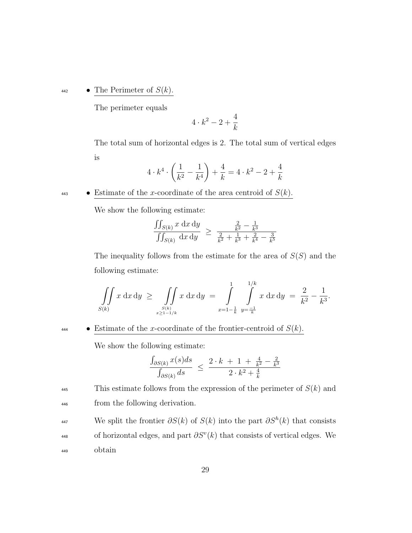$\bullet$  The Perimeter of  $S(k)$ .

The perimeter equals

$$
4\cdot k^2-2+\frac{4}{k}
$$

The total sum of horizontal edges is 2. The total sum of vertical edges is

$$
4 \cdot k^4 \cdot \left(\frac{1}{k^2} - \frac{1}{k^4}\right) + \frac{4}{k} = 4 \cdot k^2 - 2 + \frac{4}{k}
$$

443 • Estimate of the x-coordinate of the area centroid of  $S(k)$ .

We show the following estimate:

$$
\frac{\iint_{S(k)} x \, dx \, dy}{\iint_{S(k)} dx \, dy} \ge \frac{\frac{2}{k^2} - \frac{1}{k^3}}{\frac{2}{k^2} + \frac{1}{k^3} + \frac{2}{k^4} - \frac{3}{k^5}}
$$

The inequality follows from the estimate for the area of  $S(S)$  and the following estimate:

$$
\iint\limits_{S(k)} x \, dx \, dy \ \ge \ \iint\limits_{S(k)} x \, dx \, dy \ = \ \int\limits_{x=1-\frac{1}{k}}^{1} \int\limits_{y=\frac{-1}{k}}^{1/k} x \, dx \, dy \ = \ \frac{2}{k^2} - \frac{1}{k^3}.
$$

 $\bullet$  Estimate of the x-coordinate of the frontier-centroid of  $S(k)$ .

We show the following estimate:

$$
\frac{\int_{\partial S(k)} x(s)ds}{\int_{\partial S(k)} ds} \le \frac{2 \cdot k + 1 + \frac{4}{k^2} - \frac{2}{k^3}}{2 \cdot k^2 + \frac{4}{k}}
$$

<sup>445</sup> This estimate follows from the expression of the perimeter of  $S(k)$  and <sup>446</sup> from the following derivation.

- We split the frontier  $\partial S(k)$  of  $S(k)$  into the part  $\partial S^h(k)$  that consists
- 448 of horizontal edges, and part  $\partial S^v(k)$  that consists of vertical edges. We <sup>449</sup> obtain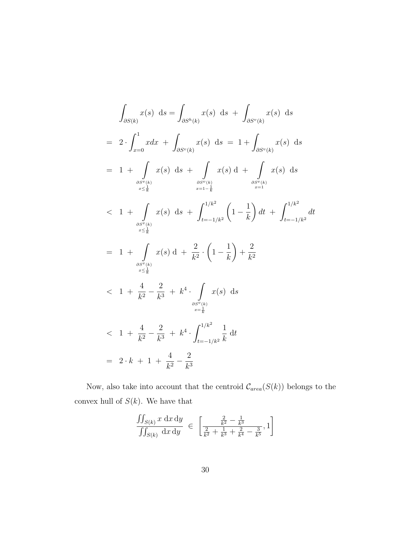$$
\int_{\partial S(k)} x(s) \, ds = \int_{\partial S^h(k)} x(s) \, ds + \int_{\partial S^v(k)} x(s) \, ds
$$
\n
$$
= 2 \cdot \int_{x=0}^1 x dx + \int_{\partial S^v(k)} x(s) \, ds = 1 + \int_{\partial S^v(k)} x(s) \, ds
$$
\n
$$
= 1 + \int_{\partial S^v(k)} x(s) \, ds + \int_{\partial S^v(k)} x(s) \, ds + \int_{\partial S^v(k)} x(s) \, ds + \int_{\partial S^v(k)} x(s) \, ds
$$
\n
$$
< 1 + \int_{\partial S^v(k)} x(s) \, ds + \int_{t=-1/k^2}^{1/k^2} \left(1 - \frac{1}{k}\right) dt + \int_{t=-1/k^2}^{1/k^2} dt
$$
\n
$$
= 1 + \int_{\partial S^v(k)} x(s) \, ds + \int_{\partial S^v(k)} x(s) \, ds + \int_{\partial S^v(k)} x(s) \, ds
$$
\n
$$
< 1 + \frac{4}{k^2} - \frac{2}{k^3} + k^4 \cdot \int_{\partial S^v(k)} x(s) \, ds
$$
\n
$$
= \frac{1}{k}
$$
\n
$$
< 1 + \frac{4}{k^2} - \frac{2}{k^3} + k^4 \cdot \int_{t=-1/k^2}^{1/k^2} \frac{1}{k} \, dt
$$
\n
$$
= 2 \cdot k + 1 + \frac{4}{k^2} - \frac{2}{k^3}
$$

Now, also take into account that the centroid  $\mathcal{C}_{area}(S(k))$  belongs to the convex hull of  $S(k)$ . We have that

$$
\frac{\iint_{S(k)} x \, dx \, dy}{\iint_{S(k)} dx \, dy} \in \left[ \frac{\frac{2}{k^2} - \frac{1}{k^3}}{\frac{2}{k^2} + \frac{1}{k^3} + \frac{2}{k^4} - \frac{3}{k^5}}, 1 \right]
$$